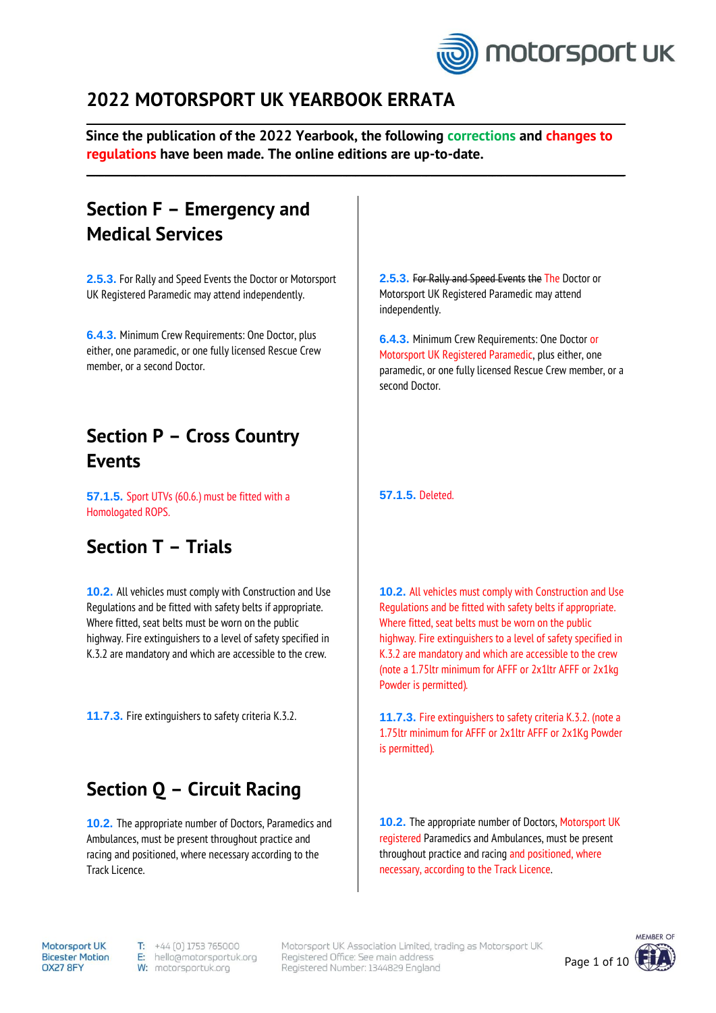

### **2022 MOTORSPORT UK YEARBOOK ERRATA**

**Since the publication of the 2022 Yearbook, the following corrections and changes to regulations have been made. The online editions are up-to-date.**

 $\_$  , and the state of the state of the state of the state of the state of the state of the state of the state of the state of the state of the state of the state of the state of the state of the state of the state of the

 $\_$  , and the state of the state of the state of the state of the state of the state of the state of the state of the state of the state of the state of the state of the state of the state of the state of the state of the

## **Section F – Emergency and Medical Services**

**2.5.3.** For Rally and Speed Events the Doctor or Motorsport UK Registered Paramedic may attend independently.

**6.4.3.** Minimum Crew Requirements: One Doctor, plus either, one paramedic, or one fully licensed Rescue Crew member, or a second Doctor.

# **Section P – Cross Country Events**

**57.1.5.** Sport UTVs (60.6.) must be fitted with a Homologated ROPS.

## **Section T – Trials**

**10.2.** All vehicles must comply with Construction and Use Regulations and be fitted with safety belts if appropriate. Where fitted, seat belts must be worn on the public highway. Fire extinguishers to a level of safety specified in K.3.2 are mandatory and which are accessible to the crew.

**11.7.3.** Fire extinguishers to safety criteria K.3.2.

## **Section Q – Circuit Racing**

**10.2.** The appropriate number of Doctors, Paramedics and Ambulances, must be present throughout practice and racing and positioned, where necessary according to the Track Licence.

**2.5.3.** For Rally and Speed Events the The Doctor or Motorsport UK Registered Paramedic may attend independently.

**6.4.3.** Minimum Crew Requirements: One Doctor or Motorsport UK Registered Paramedic, plus either, one paramedic, or one fully licensed Rescue Crew member, or a second Doctor.

**57.1.5.** Deleted.

**10.2.** All vehicles must comply with Construction and Use Regulations and be fitted with safety belts if appropriate. Where fitted, seat belts must be worn on the public highway. Fire extinguishers to a level of safety specified in K.3.2 are mandatory and which are accessible to the crew (note a 1.75ltr minimum for AFFF or 2x1ltr AFFF or 2x1kg Powder is permitted).

**11.7.3.** Fire extinguishers to safety criteria K.3.2. (note a 1.75ltr minimum for AFFF or 2x1ltr AFFF or 2x1Kg Powder is permitted).

**10.2.** The appropriate number of Doctors, Motorsport UK registered Paramedics and Ambulances, must be present throughout practice and racing and positioned, where necessary, according to the Track Licence.

Motorsport UK **Bicester Motion** OX27 8FY

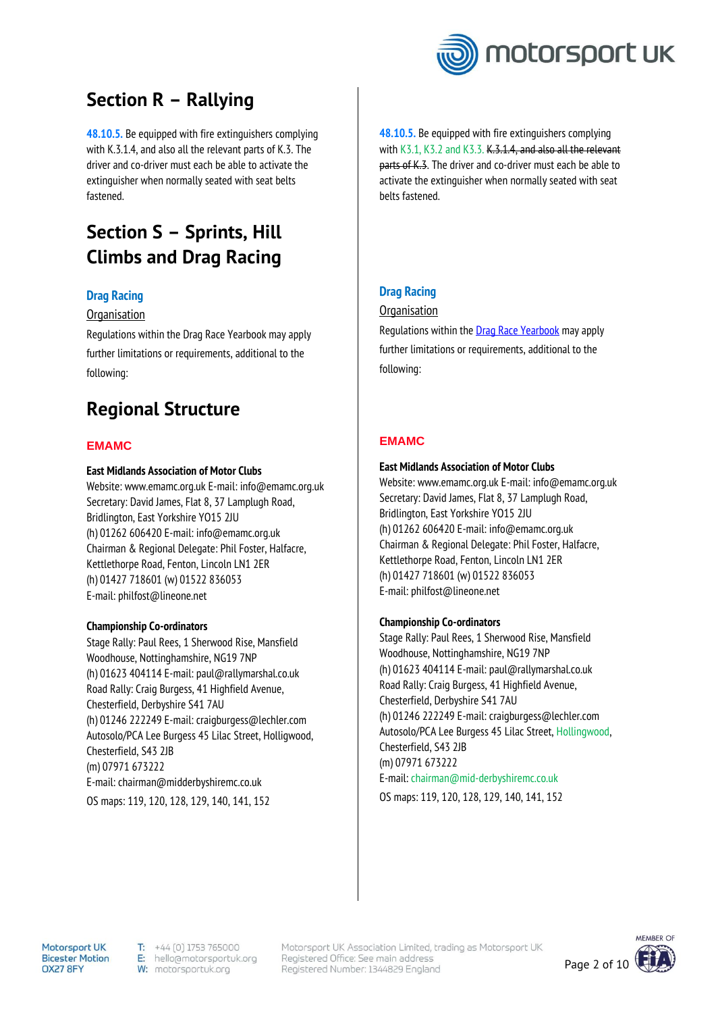

# **Section R – Rallying**

**48.10.5.** Be equipped with fire extinguishers complying with K.3.1.4, and also all the relevant parts of K.3. The driver and co-driver must each be able to activate the extinguisher when normally seated with seat belts fastened.

# **Section S – Sprints, Hill Climbs and Drag Racing**

### **Drag Racing**

#### **Organisation**

Regulations within the Drag Race Yearbook may apply further limitations or requirements, additional to the following:

### **Regional Structure**

#### **EMAMC**

#### **East Midlands Association of Motor Clubs**

Website: www.emamc.org.uk E-mail: info@emamc.org.uk Secretary: David James, Flat 8, 37 Lamplugh Road, Bridlington, East Yorkshire YO15 2JU (h) 01262 606420 E-mail: info@emamc.org.uk Chairman & Regional Delegate: Phil Foster, Halfacre, Kettlethorpe Road, Fenton, Lincoln LN1 2ER (h) 01427 718601 (w) 01522 836053 E-mail: philfost@lineone.net

#### **Championship Co-ordinators**

Stage Rally: Paul Rees, 1 Sherwood Rise, Mansfield Woodhouse, Nottinghamshire, NG19 7NP (h) 01623 404114 E-mail: paul@rallymarshal.co.uk Road Rally: Craig Burgess, 41 Highfield Avenue, Chesterfield, Derbyshire S41 7AU (h) 01246 222249 E-mail: craigburgess@lechler.com Autosolo/PCA Lee Burgess 45 Lilac Street, Holligwood, Chesterfield, S43 2JB (m) 07971 673222 E-mail: chairman@midderbyshiremc.co.uk OS maps: 119, 120, 128, 129, 140, 141, 152

**48.10.5.** Be equipped with fire extinguishers complying with K3.1, K3.2 and K3.3. K.3.1.4, and also all the relevant parts of K.3. The driver and co-driver must each be able to activate the extinguisher when normally seated with seat belts fastened.

### **Drag Racing**

#### **Organisation**

Regulations within the **Drag Race Yearbook** may apply further limitations or requirements, additional to the following:

### **EMAMC**

#### **East Midlands Association of Motor Clubs**

Website: www.emamc.org.uk E-mail: info@emamc.org.uk Secretary: David James, Flat 8, 37 Lamplugh Road, Bridlington, East Yorkshire YO15 2JU (h) 01262 606420 E-mail: info@emamc.org.uk Chairman & Regional Delegate: Phil Foster, Halfacre, Kettlethorpe Road, Fenton, Lincoln LN1 2ER (h) 01427 718601 (w) 01522 836053 E-mail: philfost@lineone.net

#### **Championship Co-ordinators**

Stage Rally: Paul Rees, 1 Sherwood Rise, Mansfield Woodhouse, Nottinghamshire, NG19 7NP (h) 01623 404114 E-mail: paul@rallymarshal.co.uk Road Rally: Craig Burgess, 41 Highfield Avenue, Chesterfield, Derbyshire S41 7AU (h) 01246 222249 E-mail: craigburgess@lechler.com Autosolo/PCA Lee Burgess 45 Lilac Street, Hollingwood, Chesterfield, S43 2JB (m) 07971 673222 E-mail: chairman@mid-derbyshiremc.co.uk OS maps: 119, 120, 128, 129, 140, 141, 152

Motorsoort UK **Bicester Motion** OX27 8FY

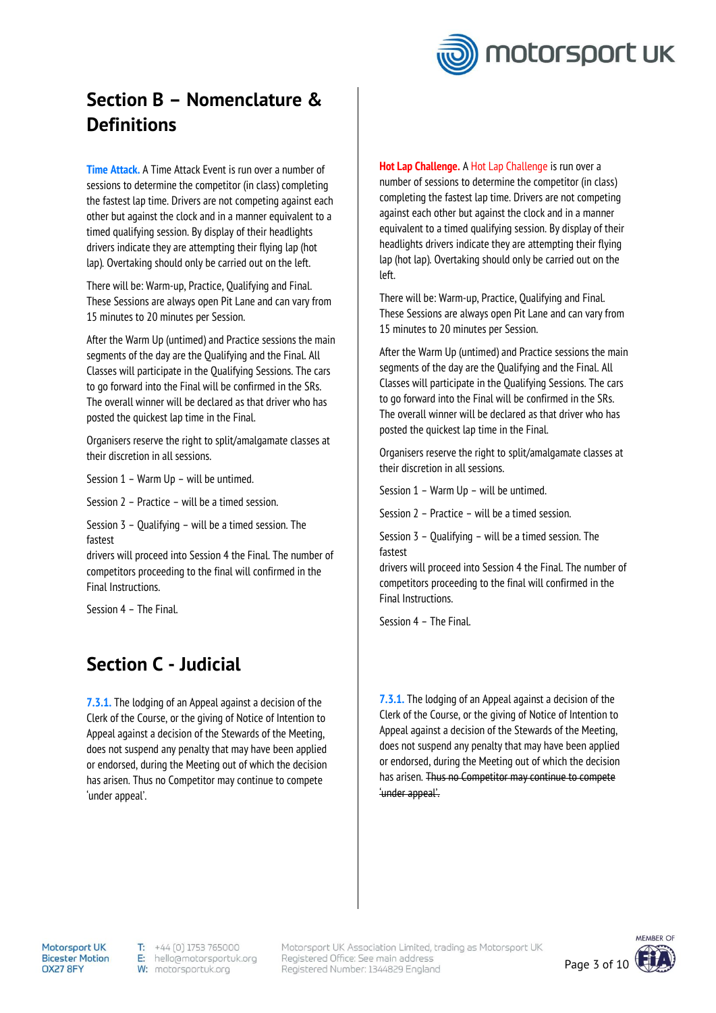

# **Section B – Nomenclature & Definitions**

**Time Attack.** A Time Attack Event is run over a number of sessions to determine the competitor (in class) completing the fastest lap time. Drivers are not competing against each other but against the clock and in a manner equivalent to a timed qualifying session. By display of their headlights drivers indicate they are attempting their flying lap (hot lap). Overtaking should only be carried out on the left.

There will be: Warm-up, Practice, Qualifying and Final. These Sessions are always open Pit Lane and can vary from 15 minutes to 20 minutes per Session.

After the Warm Up (untimed) and Practice sessions the main segments of the day are the Qualifying and the Final. All Classes will participate in the Qualifying Sessions. The cars to go forward into the Final will be confirmed in the SRs. The overall winner will be declared as that driver who has posted the quickest lap time in the Final.

Organisers reserve the right to split/amalgamate classes at their discretion in all sessions.

Session 1 – Warm Up – will be untimed.

Session 2 – Practice – will be a timed session.

Session 3 – Qualifying – will be a timed session. The fastest

drivers will proceed into Session 4 the Final. The number of competitors proceeding to the final will confirmed in the Final Instructions.

Session 4 – The Final.

## **Section C - Judicial**

**7.3.1.** The lodging of an Appeal against a decision of the Clerk of the Course, or the giving of Notice of Intention to Appeal against a decision of the Stewards of the Meeting, does not suspend any penalty that may have been applied or endorsed, during the Meeting out of which the decision has arisen. Thus no Competitor may continue to compete 'under appeal'.

**Hot Lap Challenge.** A Hot Lap Challenge is run over a number of sessions to determine the competitor (in class) completing the fastest lap time. Drivers are not competing against each other but against the clock and in a manner equivalent to a timed qualifying session. By display of their headlights drivers indicate they are attempting their flying lap (hot lap). Overtaking should only be carried out on the left.

There will be: Warm-up, Practice, Qualifying and Final. These Sessions are always open Pit Lane and can vary from 15 minutes to 20 minutes per Session.

After the Warm Up (untimed) and Practice sessions the main segments of the day are the Qualifying and the Final. All Classes will participate in the Qualifying Sessions. The cars to go forward into the Final will be confirmed in the SRs. The overall winner will be declared as that driver who has posted the quickest lap time in the Final.

Organisers reserve the right to split/amalgamate classes at their discretion in all sessions.

Session 1 – Warm Up – will be untimed.

Session 2 – Practice – will be a timed session.

Session 3 – Qualifying – will be a timed session. The fastest

drivers will proceed into Session 4 the Final. The number of competitors proceeding to the final will confirmed in the Final Instructions.

Session 4 – The Final.

**7.3.1.** The lodging of an Appeal against a decision of the Clerk of the Course, or the giving of Notice of Intention to Appeal against a decision of the Stewards of the Meeting, does not suspend any penalty that may have been applied or endorsed, during the Meeting out of which the decision has arisen. Thus no Competitor may continue to compete 'under appeal'.

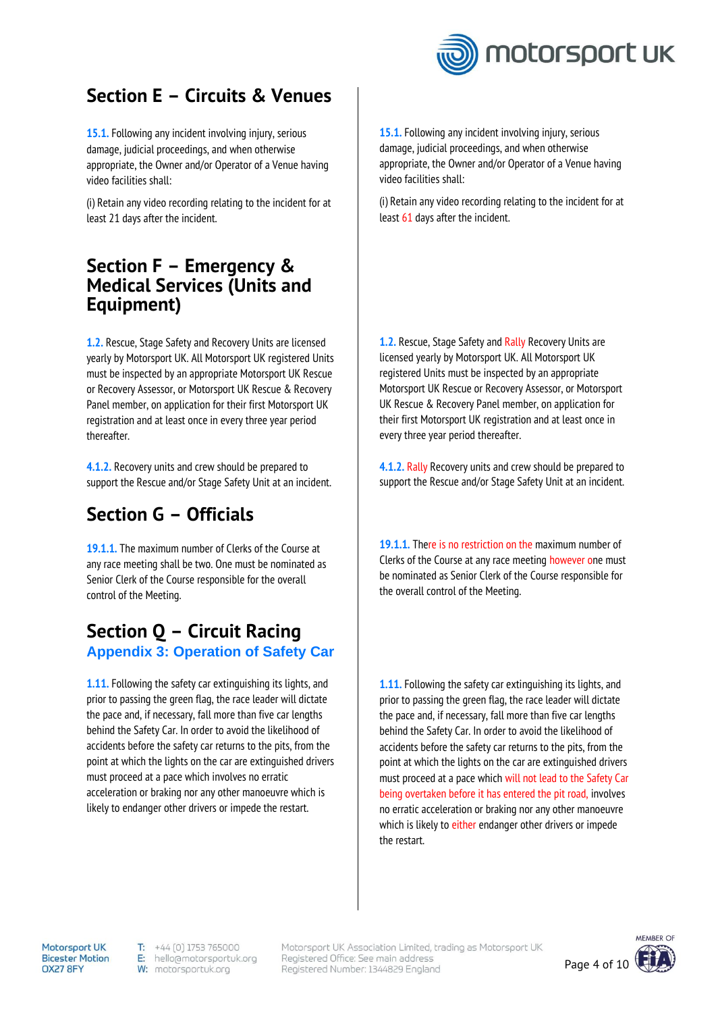

## **Section E – Circuits & Venues**

**15.1.** Following any incident involving injury, serious damage, judicial proceedings, and when otherwise appropriate, the Owner and/or Operator of a Venue having video facilities shall:

(i) Retain any video recording relating to the incident for at least 21 days after the incident.

### **Section F – Emergency & Medical Services (Units and Equipment)**

**1.2.** Rescue, Stage Safety and Recovery Units are licensed yearly by Motorsport UK. All Motorsport UK registered Units must be inspected by an appropriate Motorsport UK Rescue or Recovery Assessor, or Motorsport UK Rescue & Recovery Panel member, on application for their first Motorsport UK registration and at least once in every three year period thereafter.

**4.1.2.** Recovery units and crew should be prepared to support the Rescue and/or Stage Safety Unit at an incident.

# **Section G – Officials**

**19.1.1.** The maximum number of Clerks of the Course at any race meeting shall be two. One must be nominated as Senior Clerk of the Course responsible for the overall control of the Meeting.

### **Section Q – Circuit Racing Appendix 3: Operation of Safety Car**

**1.11.** Following the safety car extinguishing its lights, and prior to passing the green flag, the race leader will dictate the pace and, if necessary, fall more than five car lengths behind the Safety Car. In order to avoid the likelihood of accidents before the safety car returns to the pits, from the point at which the lights on the car are extinguished drivers must proceed at a pace which involves no erratic acceleration or braking nor any other manoeuvre which is likely to endanger other drivers or impede the restart.

**15.1.** Following any incident involving injury, serious damage, judicial proceedings, and when otherwise appropriate, the Owner and/or Operator of a Venue having video facilities shall:

(i) Retain any video recording relating to the incident for at least 61 days after the incident.

**1.2.** Rescue, Stage Safety and Rally Recovery Units are licensed yearly by Motorsport UK. All Motorsport UK registered Units must be inspected by an appropriate Motorsport UK Rescue or Recovery Assessor, or Motorsport UK Rescue & Recovery Panel member, on application for their first Motorsport UK registration and at least once in every three year period thereafter.

**4.1.2.** Rally Recovery units and crew should be prepared to support the Rescue and/or Stage Safety Unit at an incident.

**19.1.1.** There is no restriction on the maximum number of Clerks of the Course at any race meeting however one must be nominated as Senior Clerk of the Course responsible for the overall control of the Meeting.

**1.11.** Following the safety car extinguishing its lights, and prior to passing the green flag, the race leader will dictate the pace and, if necessary, fall more than five car lengths behind the Safety Car. In order to avoid the likelihood of accidents before the safety car returns to the pits, from the point at which the lights on the car are extinguished drivers must proceed at a pace which will not lead to the Safety Car being overtaken before it has entered the pit road, involves no erratic acceleration or braking nor any other manoeuvre which is likely to either endanger other drivers or impede the restart.

**Motorsport UK Bicester Motion** OX27 8FY

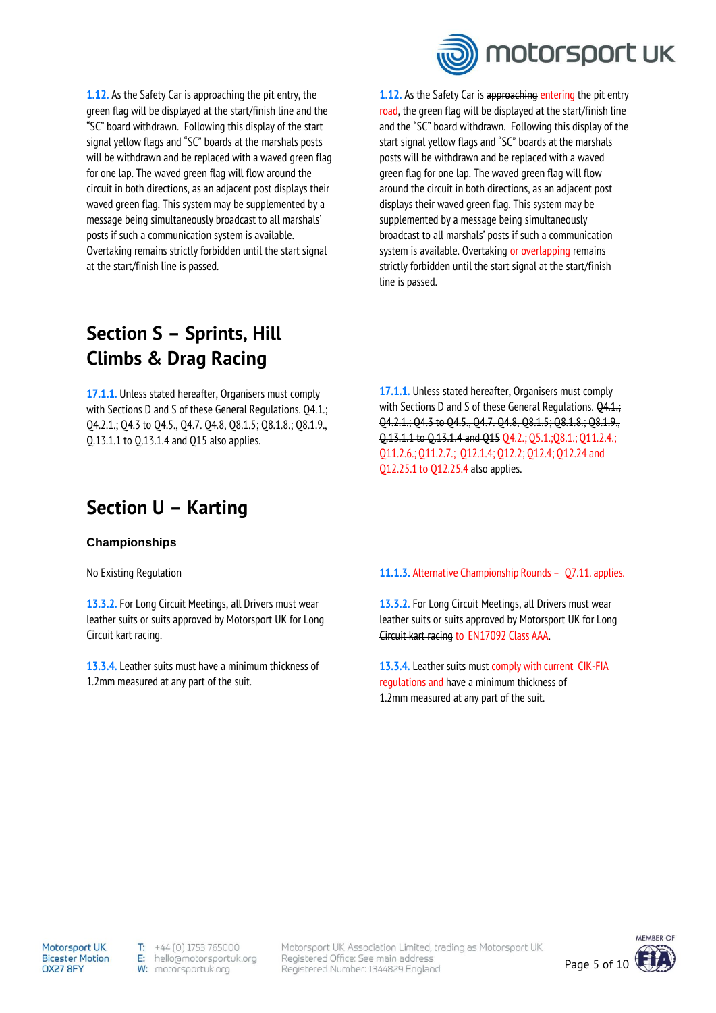**1.12.** As the Safety Car is approaching the pit entry, the green flag will be displayed at the start/finish line and the "SC" board withdrawn. Following this display of the start signal yellow flags and "SC" boards at the marshals posts will be withdrawn and be replaced with a waved green flag for one lap. The waved green flag will flow around the circuit in both directions, as an adjacent post displays their waved green flag. This system may be supplemented by a message being simultaneously broadcast to all marshals' posts if such a communication system is available. Overtaking remains strictly forbidden until the start signal at the start/finish line is passed.

## **Section S – Sprints, Hill Climbs & Drag Racing**

**17.1.1.** Unless stated hereafter, Organisers must comply with Sections D and S of these General Regulations. Q4.1.; Q4.2.1.; Q4.3 to Q4.5., Q4.7. Q4.8, Q8.1.5; Q8.1.8.; Q8.1.9., Q.13.1.1 to Q.13.1.4 and Q15 also applies.

### **Section U – Karting**

#### **Championships**

No Existing Regulation

**13.3.2.** For Long Circuit Meetings, all Drivers must wear leather suits or suits approved by Motorsport UK for Long Circuit kart racing.

**13.3.4.** Leather suits must have a minimum thickness of 1.2mm measured at any part of the suit.



1.12. As the Safety Car is approaching entering the pit entry road, the green flag will be displayed at the start/finish line and the "SC" board withdrawn. Following this display of the start signal yellow flags and "SC" boards at the marshals posts will be withdrawn and be replaced with a waved green flag for one lap. The waved green flag will flow around the circuit in both directions, as an adjacent post displays their waved green flag. This system may be supplemented by a message being simultaneously broadcast to all marshals' posts if such a communication system is available. Overtaking or overlapping remains strictly forbidden until the start signal at the start/finish line is passed.

**17.1.1.** Unless stated hereafter, Organisers must comply with Sections D and S of these General Regulations.  $\overline{Q4.1}$ .; Q4.2.1.; Q4.3 to Q4.5., Q4.7. Q4.8, Q8.1.5; Q8.1.8.; Q8.1.9., Q.13.1.1 to Q.13.1.4 and Q15 Q4.2.; Q5.1.;Q8.1.; Q11.2.4.; Q11.2.6.; Q11.2.7.; Q12.1.4; Q12.2; Q12.4; Q12.24 and Q12.25.1 to Q12.25.4 also applies.

#### **11.1.3.** Alternative Championship Rounds – Q7.11. applies.

**13.3.2.** For Long Circuit Meetings, all Drivers must wear leather suits or suits approved by Motorsport UK for Long Circuit kart racing to EN17092 Class AAA.

**13.3.4.** Leather suits must comply with current CIK-FIA regulations and have a minimum thickness of 1.2mm measured at any part of the suit.

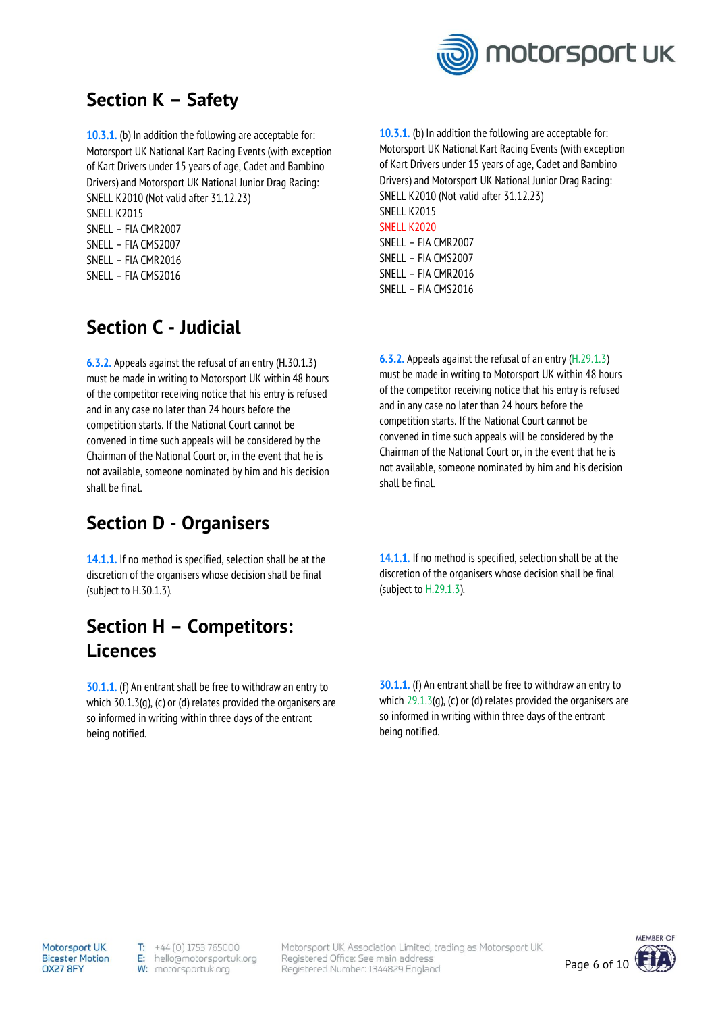

# **Section K – Safety**

**10.3.1.** (b) In addition the following are acceptable for: Motorsport UK National Kart Racing Events (with exception of Kart Drivers under 15 years of age, Cadet and Bambino Drivers) and Motorsport UK National Junior Drag Racing: SNELL K2010 (Not valid after 31.12.23) SNELL K2015 SNELL – FIA CMR2007 SNELL – FIA CMS2007 SNELL – FIA CMR2016 SNELL – FIA CMS2016

# **Section C - Judicial**

**6.3.2.** Appeals against the refusal of an entry (H.30.1.3) must be made in writing to Motorsport UK within 48 hours of the competitor receiving notice that his entry is refused and in any case no later than 24 hours before the competition starts. If the National Court cannot be convened in time such appeals will be considered by the Chairman of the National Court or, in the event that he is not available, someone nominated by him and his decision shall be final.

# **Section D - Organisers**

**14.1.1.** If no method is specified, selection shall be at the discretion of the organisers whose decision shall be final (subject to H.30.1.3).

## **Section H – Competitors: Licences**

**30.1.1.** (f) An entrant shall be free to withdraw an entry to which 30.1.3(g), (c) or (d) relates provided the organisers are so informed in writing within three days of the entrant being notified.

**10.3.1.** (b) In addition the following are acceptable for: Motorsport UK National Kart Racing Events (with exception of Kart Drivers under 15 years of age, Cadet and Bambino Drivers) and Motorsport UK National Junior Drag Racing: SNELL K2010 (Not valid after 31.12.23) SNELL K2015 SNELL K2020 SNELL – FIA CMR2007 SNELL – FIA CMS2007 SNELL – FIA CMR2016 SNELL – FIA CMS2016

**6.3.2.** Appeals against the refusal of an entry (H.29.1.3) must be made in writing to Motorsport UK within 48 hours of the competitor receiving notice that his entry is refused and in any case no later than 24 hours before the competition starts. If the National Court cannot be convened in time such appeals will be considered by the Chairman of the National Court or, in the event that he is not available, someone nominated by him and his decision shall be final.

**14.1.1.** If no method is specified, selection shall be at the discretion of the organisers whose decision shall be final (subject to H.29.1.3).

**30.1.1.** (f) An entrant shall be free to withdraw an entry to which  $29.1.3(q)$ , (c) or (d) relates provided the organisers are so informed in writing within three days of the entrant being notified.

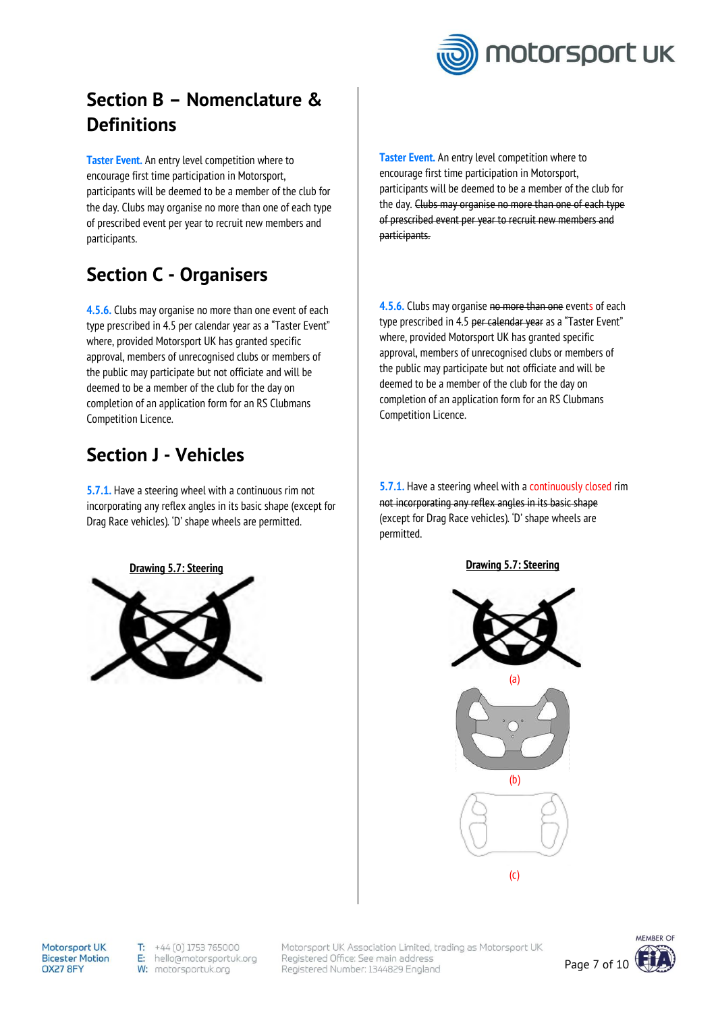

# **Section B – Nomenclature & Definitions**

**Taster Event.** An entry level competition where to encourage first time participation in Motorsport, participants will be deemed to be a member of the club for the day. Clubs may organise no more than one of each type of prescribed event per year to recruit new members and participants.

# **Section C - Organisers**

**4.5.6.** Clubs may organise no more than one event of each type prescribed in 4.5 per calendar year as a "Taster Event" where, provided Motorsport UK has granted specific approval, members of unrecognised clubs or members of the public may participate but not officiate and will be deemed to be a member of the club for the day on completion of an application form for an RS Clubmans Competition Licence.

# **Section J - Vehicles**

**5.7.1.** Have a steering wheel with a continuous rim not incorporating any reflex angles in its basic shape (except for Drag Race vehicles). 'D' shape wheels are permitted.



**Taster Event.** An entry level competition where to encourage first time participation in Motorsport, participants will be deemed to be a member of the club for the day. Clubs may organise no more than one of each type of prescribed event per year to recruit new members and participants.

**4.5.6.** Clubs may organise no more than one events of each type prescribed in 4.5 per calendar year as a "Taster Event" where, provided Motorsport UK has granted specific approval, members of unrecognised clubs or members of the public may participate but not officiate and will be deemed to be a member of the club for the day on completion of an application form for an RS Clubmans Competition Licence.

**5.7.1.** Have a steering wheel with a continuously closed rim not incorporating any reflex angles in its basic shape (except for Drag Race vehicles). 'D' shape wheels are permitted.



**Motorsport UK Bicester Motion** OX27 8FY

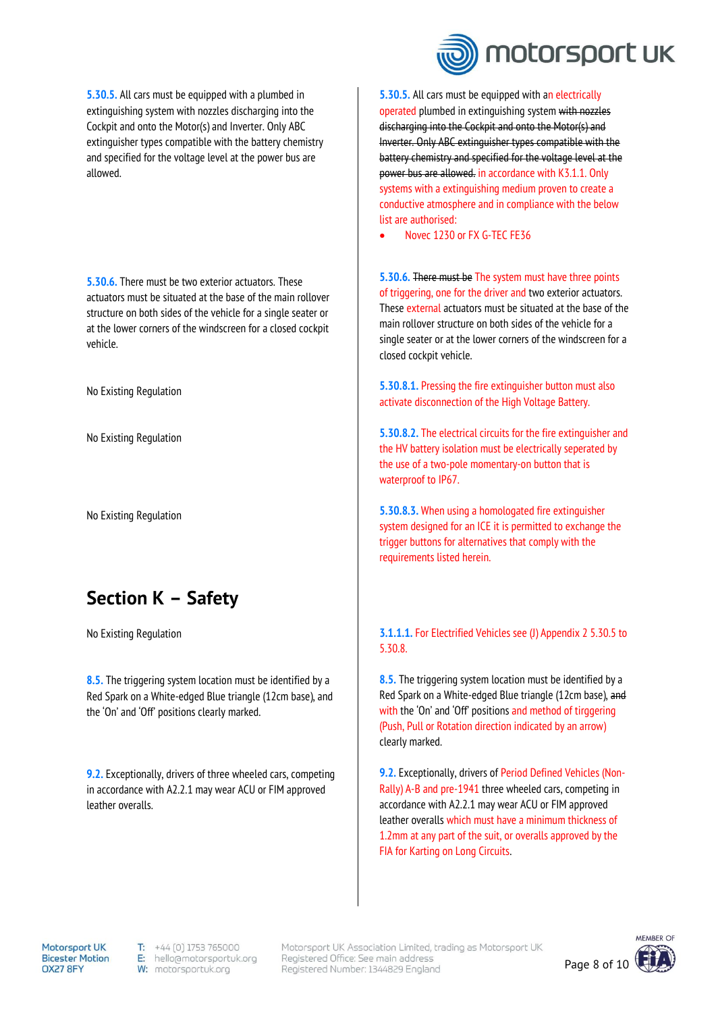**5.30.5.** All cars must be equipped with a plumbed in extinguishing system with nozzles discharging into the Cockpit and onto the Motor(s) and Inverter. Only ABC extinguisher types compatible with the battery chemistry and specified for the voltage level at the power bus are allowed.

**5.30.6.** There must be two exterior actuators. These actuators must be situated at the base of the main rollover structure on both sides of the vehicle for a single seater or at the lower corners of the windscreen for a closed cockpit vehicle.

No Existing Regulation

No Existing Regulation

No Existing Regulation

### **Section K – Safety**

No Existing Regulation

**8.5.** The triggering system location must be identified by a Red Spark on a White-edged Blue triangle (12cm base), and the 'On' and 'Off' positions clearly marked.

**9.2.** Exceptionally, drivers of three wheeled cars, competing in accordance with A2.2.1 may wear ACU or FIM approved leather overalls.



**5.30.5.** All cars must be equipped with an electrically operated plumbed in extinguishing system with nozzles discharging into the Cockpit and onto the Motor(s) and Inverter. Only ABC extinguisher types compatible with the battery chemistry and specified for the voltage level at the power bus are allowed. in accordance with K3.1.1. Only systems with a extinguishing medium proven to create a conductive atmosphere and in compliance with the below list are authorised:

• Novec 1230 or FX G-TEC FE36

**5.30.6.** There must be The system must have three points of triggering, one for the driver and two exterior actuators. These external actuators must be situated at the base of the main rollover structure on both sides of the vehicle for a single seater or at the lower corners of the windscreen for a closed cockpit vehicle.

**5.30.8.1.** Pressing the fire extinguisher button must also activate disconnection of the High Voltage Battery.

**5.30.8.2.** The electrical circuits for the fire extinguisher and the HV battery isolation must be electrically seperated by the use of a two-pole momentary-on button that is waterproof to IP67.

**5.30.8.3.** When using a homologated fire extinguisher system designed for an ICE it is permitted to exchange the trigger buttons for alternatives that comply with the requirements listed herein.

#### **3.1.1.1.** For Electrified Vehicles see (J) Appendix 2 5.30.5 to 5.30.8.

**8.5.** The triggering system location must be identified by a Red Spark on a White-edged Blue triangle (12cm base), and with the 'On' and 'Off' positions and method of tirggering (Push, Pull or Rotation direction indicated by an arrow) clearly marked.

**9.2.** Exceptionally, drivers of Period Defined Vehicles (Non-Rally) A-B and pre-1941 three wheeled cars, competing in accordance with A2.2.1 may wear ACU or FIM approved leather overalls which must have a minimum thickness of 1.2mm at any part of the suit, or overalls approved by the FIA for Karting on Long Circuits.

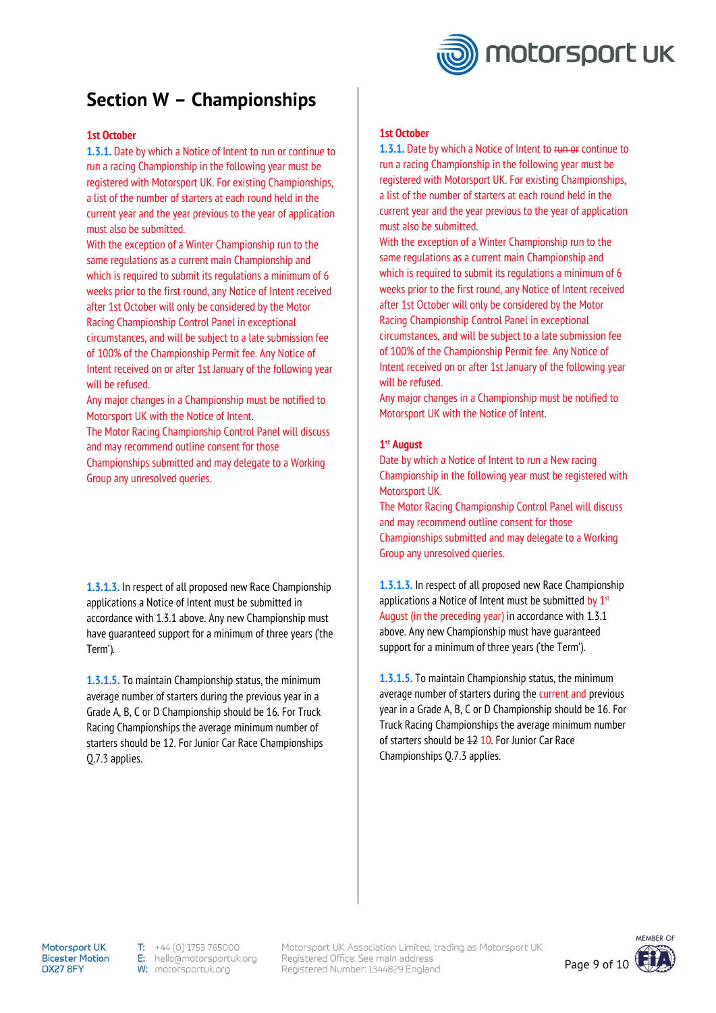

### **Section W – Championships**

#### **1st October**

**1.3.1.** Date by which a Notice of Intent to run or continue to run a racing Championship in the following year must be registered with Motorsport UK. For existing Championships, a list of the number of starters at each round held in the current year and the year previous to the year of application must also be submitted.

With the exception of a Winter Championship run to the same regulations as a current main Championship and which is required to submit its regulations a minimum of 6 weeks prior to the first round, any Notice of Intent received after 1st October will only be considered by the Motor Racing Championship Control Panel in exceptional circumstances, and will be subject to a late submission fee of 100% of the Championship Permit fee. Any Notice of Intent received on or after 1st January of the following year will be refused.

Any major changes in a Championship must be notified to Motorsport UK with the Notice of Intent.

The Motor Racing Championship Control Panel will discuss and may recommend outline consent for those Championships submitted and may delegate to a Working Group any unresolved queries.

**1.3.1.3.** In respect of all proposed new Race Championship applications a Notice of Intent must be submitted in accordance with 1.3.1 above. Any new Championship must have guaranteed support for a minimum of three years ('the Term').

**1.3.1.5.** To maintain Championship status, the minimum average number of starters during the previous year in a Grade A, B, C or D Championship should be 16. For Truck Racing Championships the average minimum number of starters should be 12. For Junior Car Race Championships Q.7.3 applies.

#### **1st October**

**1.3.1.** Date by which a Notice of Intent to run or continue to run a racing Championship in the following year must be registered with Motorsport UK. For existing Championships, a list of the number of starters at each round held in the current year and the year previous to the year of application must also be submitted.

With the exception of a Winter Championship run to the same regulations as a current main Championship and which is required to submit its requlations a minimum of 6 weeks prior to the first round, any Notice of Intent received after 1st October will only be considered by the Motor Racing Championship Control Panel in exceptional circumstances, and will be subject to a late submission fee of 100% of the Championship Permit fee. Any Notice of Intent received on or after 1st January of the following year will be refused.

Any major changes in a Championship must be notified to Motorsport UK with the Notice of Intent.

#### **1 st August**

Date by which a Notice of Intent to run a New racing Championship in the following year must be registered with Motorsport UK.

The Motor Racing Championship Control Panel will discuss and may recommend outline consent for those Championships submitted and may delegate to a Working Group any unresolved queries.

**1.3.1.3.** In respect of all proposed new Race Championship applications a Notice of Intent must be submitted by  $1<sup>st</sup>$ August (in the preceding year) in accordance with 1.3.1 above. Any new Championship must have guaranteed support for a minimum of three years ('the Term').

**1.3.1.5.** To maintain Championship status, the minimum average number of starters during the current and previous year in a Grade A, B, C or D Championship should be 16. For Truck Racing Championships the average minimum number of starters should be 12 10. For Junior Car Race Championships Q.7.3 applies.